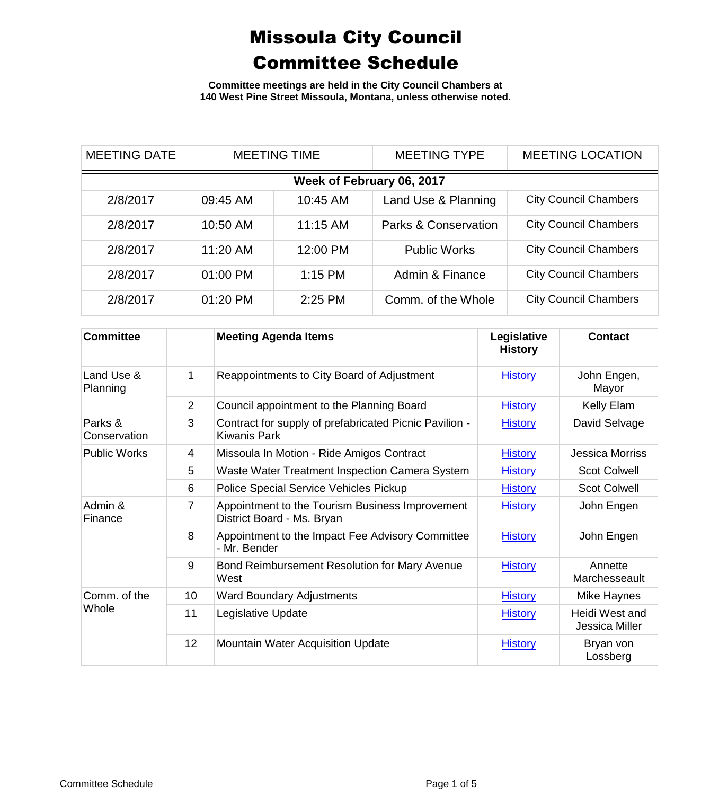**Committee meetings are held in the City Council Chambers at 140 West Pine Street Missoula, Montana, unless otherwise noted.**

| <b>MEETING DATE</b>       | <b>MEETING TIME</b> |           | <b>MEETING TYPE</b>             | <b>MEETING LOCATION</b>      |  |
|---------------------------|---------------------|-----------|---------------------------------|------------------------------|--|
| Week of February 06, 2017 |                     |           |                                 |                              |  |
| 2/8/2017                  | 09:45 AM            | 10:45 AM  | Land Use & Planning             | <b>City Council Chambers</b> |  |
| 2/8/2017                  | 10:50 AM            | 11:15 AM  | <b>Parks &amp; Conservation</b> | <b>City Council Chambers</b> |  |
| 2/8/2017                  | 11:20 AM            | 12:00 PM  | <b>Public Works</b>             | <b>City Council Chambers</b> |  |
| 2/8/2017                  | 01:00 PM            | $1:15$ PM | Admin & Finance                 | <b>City Council Chambers</b> |  |
| 2/8/2017                  | 01:20 PM            | 2:25 PM   | Comm. of the Whole              | <b>City Council Chambers</b> |  |

| <b>Committee</b>        |                | <b>Meeting Agenda Items</b>                                                   | Legislative<br><b>History</b> | <b>Contact</b>                   |
|-------------------------|----------------|-------------------------------------------------------------------------------|-------------------------------|----------------------------------|
| Land Use &<br>Planning  | 1              | Reappointments to City Board of Adjustment                                    | <b>History</b>                | John Engen,<br>Mayor             |
|                         | $\overline{2}$ | Council appointment to the Planning Board                                     | <b>History</b>                | Kelly Elam                       |
| Parks &<br>Conservation | 3              | Contract for supply of prefabricated Picnic Pavilion -<br>Kiwanis Park        | <b>History</b>                | David Selvage                    |
| <b>Public Works</b>     | 4              | Missoula In Motion - Ride Amigos Contract                                     | <b>History</b>                | <b>Jessica Morriss</b>           |
|                         | 5              | Waste Water Treatment Inspection Camera System                                | <b>History</b>                | <b>Scot Colwell</b>              |
|                         | 6              | Police Special Service Vehicles Pickup                                        | <b>History</b>                | <b>Scot Colwell</b>              |
| Admin &<br>Finance      | 7              | Appointment to the Tourism Business Improvement<br>District Board - Ms. Bryan | <b>History</b>                | John Engen                       |
|                         | 8              | Appointment to the Impact Fee Advisory Committee<br>- Mr. Bender              | <b>History</b>                | John Engen                       |
|                         | 9              | Bond Reimbursement Resolution for Mary Avenue<br>West                         | <b>History</b>                | Annette<br>Marchesseault         |
| Comm. of the<br>Whole   | 10             | <b>Ward Boundary Adjustments</b>                                              | <b>History</b>                | Mike Haynes                      |
|                         | 11             | Legislative Update                                                            | <b>History</b>                | Heidi West and<br>Jessica Miller |
|                         | 12             | <b>Mountain Water Acquisition Update</b>                                      | <b>History</b>                | Bryan von<br>Lossberg            |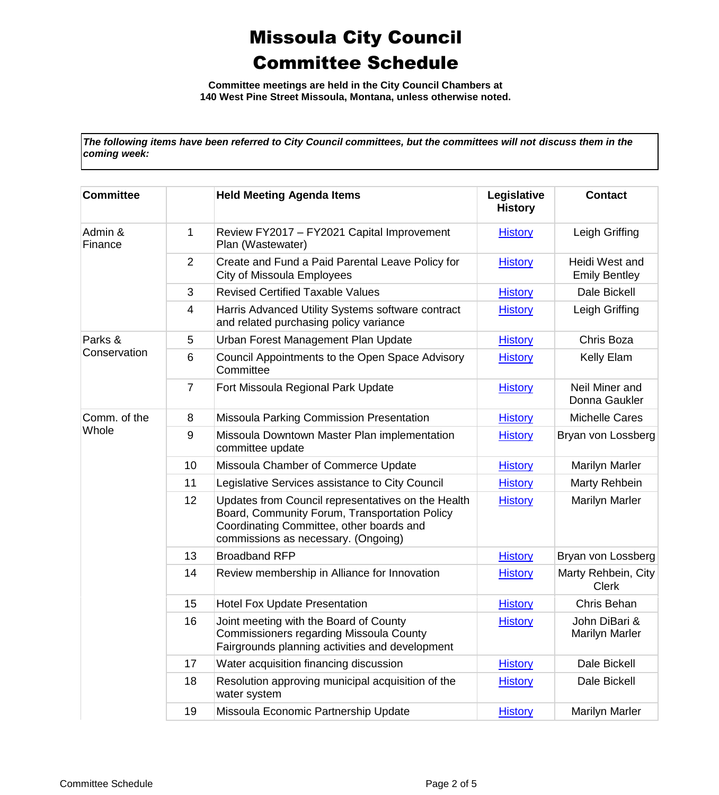**Committee meetings are held in the City Council Chambers at 140 West Pine Street Missoula, Montana, unless otherwise noted.**

*The following items have been referred to City Council committees, but the committees will not discuss them in the coming week:*

| <b>Committee</b>   |                | <b>Held Meeting Agenda Items</b>                                                                                                                                                       | Legislative<br><b>History</b> | <b>Contact</b>                         |
|--------------------|----------------|----------------------------------------------------------------------------------------------------------------------------------------------------------------------------------------|-------------------------------|----------------------------------------|
| Admin &<br>Finance | 1              | Review FY2017 - FY2021 Capital Improvement<br>Plan (Wastewater)                                                                                                                        | <b>History</b>                | Leigh Griffing                         |
|                    | 2              | Create and Fund a Paid Parental Leave Policy for<br>City of Missoula Employees                                                                                                         | <b>History</b>                | Heidi West and<br><b>Emily Bentley</b> |
|                    | 3              | <b>Revised Certified Taxable Values</b>                                                                                                                                                | <b>History</b>                | Dale Bickell                           |
|                    | 4              | Harris Advanced Utility Systems software contract<br>and related purchasing policy variance                                                                                            | <b>History</b>                | Leigh Griffing                         |
| Parks &            | 5              | Urban Forest Management Plan Update                                                                                                                                                    | <b>History</b>                | Chris Boza                             |
| Conservation       | 6              | Council Appointments to the Open Space Advisory<br>Committee                                                                                                                           | <b>History</b>                | Kelly Elam                             |
|                    | $\overline{7}$ | Fort Missoula Regional Park Update                                                                                                                                                     | <b>History</b>                | Neil Miner and<br>Donna Gaukler        |
| Comm. of the       | 8              | Missoula Parking Commission Presentation                                                                                                                                               | <b>History</b>                | <b>Michelle Cares</b>                  |
| Whole              | $9\,$          | Missoula Downtown Master Plan implementation<br>committee update                                                                                                                       | <b>History</b>                | Bryan von Lossberg                     |
|                    | 10             | Missoula Chamber of Commerce Update                                                                                                                                                    | <b>History</b>                | Marilyn Marler                         |
|                    | 11             | Legislative Services assistance to City Council                                                                                                                                        | <b>History</b>                | Marty Rehbein                          |
|                    | 12             | Updates from Council representatives on the Health<br>Board, Community Forum, Transportation Policy<br>Coordinating Committee, other boards and<br>commissions as necessary. (Ongoing) | <b>History</b>                | Marilyn Marler                         |
|                    | 13             | <b>Broadband RFP</b>                                                                                                                                                                   | <b>History</b>                | Bryan von Lossberg                     |
|                    | 14             | Review membership in Alliance for Innovation                                                                                                                                           | <b>History</b>                | Marty Rehbein, City<br><b>Clerk</b>    |
|                    | 15             | <b>Hotel Fox Update Presentation</b>                                                                                                                                                   | <b>History</b>                | Chris Behan                            |
|                    | 16             | Joint meeting with the Board of County<br><b>Commissioners regarding Missoula County</b><br>Fairgrounds planning activities and development                                            | <b>History</b>                | John DiBari &<br><b>Marilyn Marler</b> |
|                    | 17             | Water acquisition financing discussion                                                                                                                                                 | <b>History</b>                | Dale Bickell                           |
|                    | 18             | Resolution approving municipal acquisition of the<br>water system                                                                                                                      | <b>History</b>                | Dale Bickell                           |
|                    | 19             | Missoula Economic Partnership Update                                                                                                                                                   | <b>History</b>                | <b>Marilyn Marler</b>                  |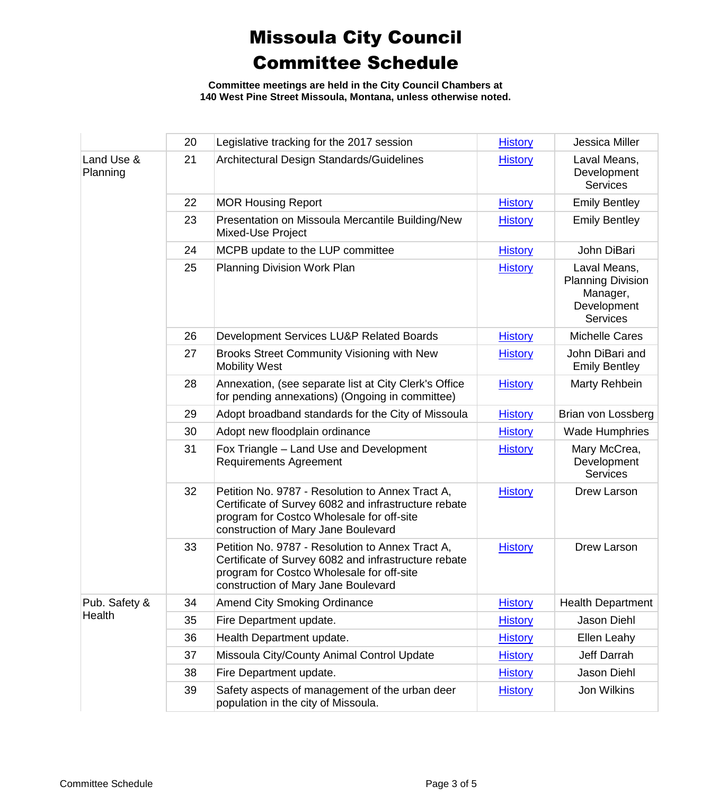**Committee meetings are held in the City Council Chambers at 140 West Pine Street Missoula, Montana, unless otherwise noted.**

|                         | 20 | Legislative tracking for the 2017 session                                                                                                                                                    | <b>History</b> | Jessica Miller                                                                         |
|-------------------------|----|----------------------------------------------------------------------------------------------------------------------------------------------------------------------------------------------|----------------|----------------------------------------------------------------------------------------|
| Land Use &<br>Planning  | 21 | Architectural Design Standards/Guidelines                                                                                                                                                    | <b>History</b> | Laval Means,<br>Development<br><b>Services</b>                                         |
|                         | 22 | <b>MOR Housing Report</b>                                                                                                                                                                    | <b>History</b> | <b>Emily Bentley</b>                                                                   |
|                         | 23 | Presentation on Missoula Mercantile Building/New<br><b>Mixed-Use Project</b>                                                                                                                 | <b>History</b> | <b>Emily Bentley</b>                                                                   |
|                         | 24 | MCPB update to the LUP committee                                                                                                                                                             | <b>History</b> | John DiBari                                                                            |
|                         | 25 | Planning Division Work Plan                                                                                                                                                                  | <b>History</b> | Laval Means,<br><b>Planning Division</b><br>Manager,<br>Development<br><b>Services</b> |
|                         | 26 | Development Services LU&P Related Boards                                                                                                                                                     | <b>History</b> | <b>Michelle Cares</b>                                                                  |
|                         | 27 | Brooks Street Community Visioning with New<br><b>Mobility West</b>                                                                                                                           | <b>History</b> | John DiBari and<br><b>Emily Bentley</b>                                                |
|                         | 28 | Annexation, (see separate list at City Clerk's Office<br>for pending annexations) (Ongoing in committee)                                                                                     | <b>History</b> | Marty Rehbein                                                                          |
|                         | 29 | Adopt broadband standards for the City of Missoula                                                                                                                                           | <b>History</b> | Brian von Lossberg                                                                     |
|                         | 30 | Adopt new floodplain ordinance                                                                                                                                                               | <b>History</b> | <b>Wade Humphries</b>                                                                  |
|                         | 31 | Fox Triangle - Land Use and Development<br><b>Requirements Agreement</b>                                                                                                                     | <b>History</b> | Mary McCrea,<br>Development<br><b>Services</b>                                         |
|                         | 32 | Petition No. 9787 - Resolution to Annex Tract A,<br>Certificate of Survey 6082 and infrastructure rebate<br>program for Costco Wholesale for off-site<br>construction of Mary Jane Boulevard | <b>History</b> | Drew Larson                                                                            |
|                         | 33 | Petition No. 9787 - Resolution to Annex Tract A,<br>Certificate of Survey 6082 and infrastructure rebate<br>program for Costco Wholesale for off-site<br>construction of Mary Jane Boulevard | <b>History</b> | Drew Larson                                                                            |
| Pub. Safety &<br>Health | 34 | <b>Amend City Smoking Ordinance</b>                                                                                                                                                          | <b>History</b> | <b>Health Department</b>                                                               |
|                         | 35 | Fire Department update.                                                                                                                                                                      | <b>History</b> | Jason Diehl                                                                            |
|                         | 36 | Health Department update.                                                                                                                                                                    | <b>History</b> | Ellen Leahy                                                                            |
|                         | 37 | Missoula City/County Animal Control Update                                                                                                                                                   | <b>History</b> | Jeff Darrah                                                                            |
|                         | 38 | Fire Department update.                                                                                                                                                                      | <b>History</b> | Jason Diehl                                                                            |
|                         | 39 | Safety aspects of management of the urban deer<br>population in the city of Missoula.                                                                                                        | <b>History</b> | Jon Wilkins                                                                            |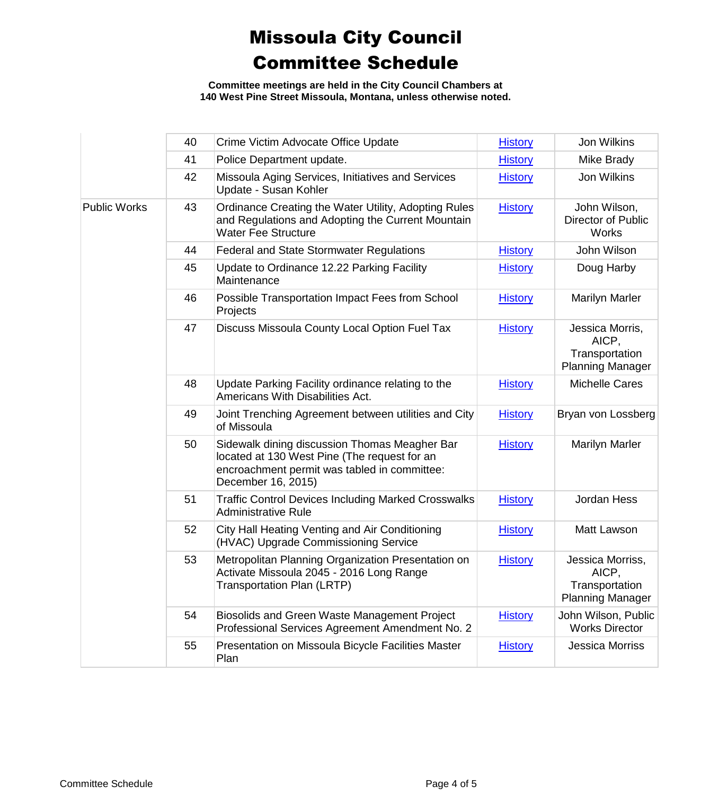**Committee meetings are held in the City Council Chambers at 140 West Pine Street Missoula, Montana, unless otherwise noted.**

|                     | 40 | Crime Victim Advocate Office Update                                                                                                                                 | <b>History</b> | Jon Wilkins                                                            |
|---------------------|----|---------------------------------------------------------------------------------------------------------------------------------------------------------------------|----------------|------------------------------------------------------------------------|
|                     | 41 | Police Department update.                                                                                                                                           | <b>History</b> | Mike Brady                                                             |
|                     | 42 | Missoula Aging Services, Initiatives and Services<br>Update - Susan Kohler                                                                                          | <b>History</b> | Jon Wilkins                                                            |
| <b>Public Works</b> | 43 | Ordinance Creating the Water Utility, Adopting Rules<br>and Regulations and Adopting the Current Mountain<br><b>Water Fee Structure</b>                             | <b>History</b> | John Wilson,<br>Director of Public<br>Works                            |
|                     | 44 | <b>Federal and State Stormwater Regulations</b>                                                                                                                     | <b>History</b> | John Wilson                                                            |
|                     | 45 | Update to Ordinance 12.22 Parking Facility<br>Maintenance                                                                                                           | <b>History</b> | Doug Harby                                                             |
|                     | 46 | Possible Transportation Impact Fees from School<br>Projects                                                                                                         | <b>History</b> | <b>Marilyn Marler</b>                                                  |
|                     | 47 | Discuss Missoula County Local Option Fuel Tax                                                                                                                       | <b>History</b> | Jessica Morris,<br>AICP,<br>Transportation<br><b>Planning Manager</b>  |
|                     | 48 | Update Parking Facility ordinance relating to the<br><b>Americans With Disabilities Act.</b>                                                                        | <b>History</b> | <b>Michelle Cares</b>                                                  |
|                     | 49 | Joint Trenching Agreement between utilities and City<br>of Missoula                                                                                                 | <b>History</b> | Bryan von Lossberg                                                     |
|                     | 50 | Sidewalk dining discussion Thomas Meagher Bar<br>located at 130 West Pine (The request for an<br>encroachment permit was tabled in committee:<br>December 16, 2015) | <b>History</b> | <b>Marilyn Marler</b>                                                  |
|                     | 51 | <b>Traffic Control Devices Including Marked Crosswalks</b><br><b>Administrative Rule</b>                                                                            | <b>History</b> | Jordan Hess                                                            |
|                     | 52 | City Hall Heating Venting and Air Conditioning<br>(HVAC) Upgrade Commissioning Service                                                                              | <b>History</b> | Matt Lawson                                                            |
|                     | 53 | Metropolitan Planning Organization Presentation on<br>Activate Missoula 2045 - 2016 Long Range<br>Transportation Plan (LRTP)                                        | <b>History</b> | Jessica Morriss,<br>AICP,<br>Transportation<br><b>Planning Manager</b> |
|                     | 54 | Biosolids and Green Waste Management Project<br>Professional Services Agreement Amendment No. 2                                                                     | <b>History</b> | John Wilson, Public<br><b>Works Director</b>                           |
|                     | 55 | Presentation on Missoula Bicycle Facilities Master<br>Plan                                                                                                          | <b>History</b> | <b>Jessica Morriss</b>                                                 |